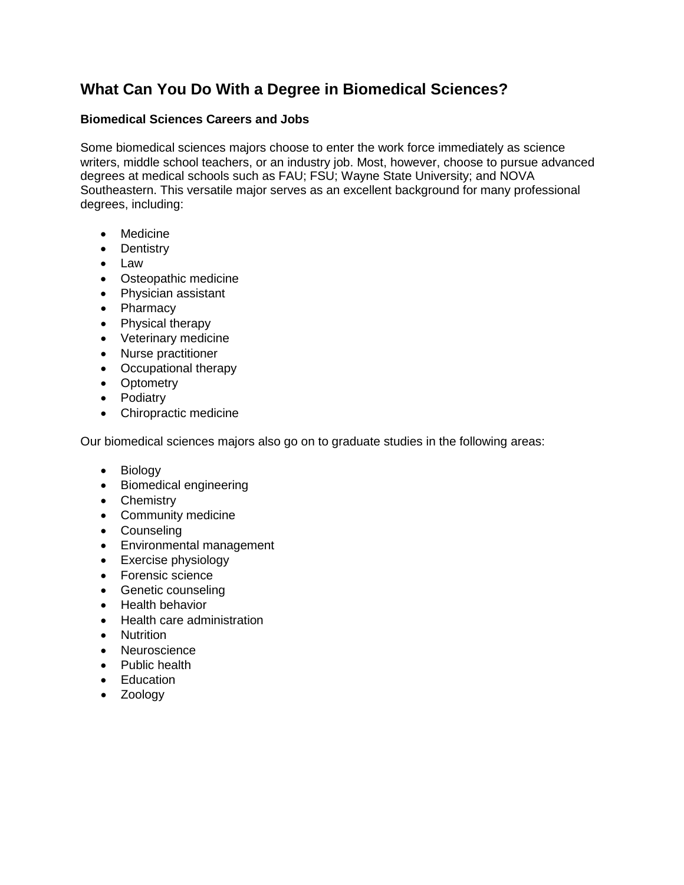## **What Can You Do With a Degree in Biomedical Sciences?**

## **Biomedical Sciences Careers and Jobs**

Some biomedical sciences majors choose to enter the work force immediately as science writers, middle school teachers, or an industry job. Most, however, choose to pursue advanced degrees at medical schools such as FAU; FSU; Wayne State University; and NOVA Southeastern. This versatile major serves as an excellent background for many professional degrees, including:

- Medicine
- Dentistry
- Law
- Osteopathic medicine
- Physician assistant
- Pharmacy
- Physical therapy
- Veterinary medicine
- Nurse practitioner
- Occupational therapy
- Optometry
- Podiatry
- Chiropractic medicine

Our biomedical sciences majors also go on to graduate studies in the following areas:

- Biology
- Biomedical engineering
- Chemistry
- Community medicine
- Counseling
- Environmental management
- Exercise physiology
- Forensic science
- Genetic counseling
- Health behavior
- Health care administration
- Nutrition
- Neuroscience
- Public health
- Education
- Zoology